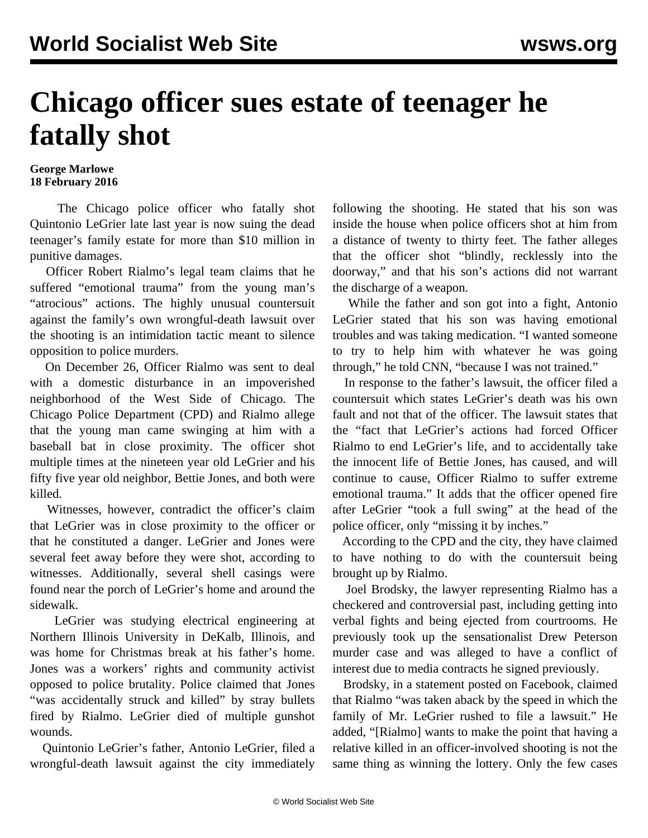## **Chicago officer sues estate of teenager he fatally shot**

## **George Marlowe 18 February 2016**

 The Chicago police officer who fatally shot Quintonio LeGrier late last year is now suing the dead teenager's family estate for more than \$10 million in punitive damages.

 Officer Robert Rialmo's legal team claims that he suffered "emotional trauma" from the young man's "atrocious" actions. The highly unusual countersuit against the family's own wrongful-death lawsuit over the shooting is an intimidation tactic meant to silence opposition to police murders.

 On December 26, Officer Rialmo was sent to deal with a domestic disturbance in an impoverished neighborhood of the West Side of Chicago. The Chicago Police Department (CPD) and Rialmo allege that the young man came swinging at him with a baseball bat in close proximity. The officer shot multiple times at the nineteen year old LeGrier and his fifty five year old neighbor, Bettie Jones, and both were killed.

 Witnesses, however, contradict the officer's claim that LeGrier was in close proximity to the officer or that he constituted a danger. LeGrier and Jones were several feet away before they were shot, according to witnesses. Additionally, several shell casings were found near the porch of LeGrier's home and around the sidewalk.

 LeGrier was studying electrical engineering at Northern Illinois University in DeKalb, Illinois, and was home for Christmas break at his father's home. Jones was a workers' rights and community activist opposed to police brutality. Police claimed that Jones "was accidentally struck and killed" by stray bullets fired by Rialmo. LeGrier died of multiple gunshot wounds.

 Quintonio LeGrier's father, Antonio LeGrier, filed a wrongful-death lawsuit against the city immediately following the shooting. He stated that his son was inside the house when police officers shot at him from a distance of twenty to thirty feet. The father alleges that the officer shot "blindly, recklessly into the doorway," and that his son's actions did not warrant the discharge of a weapon.

 While the father and son got into a fight, Antonio LeGrier stated that his son was having emotional troubles and was taking medication. "I wanted someone to try to help him with whatever he was going through," he told CNN, "because I was not trained."

 In response to the father's lawsuit, the officer filed a countersuit which states LeGrier's death was his own fault and not that of the officer. The lawsuit states that the "fact that LeGrier's actions had forced Officer Rialmo to end LeGrier's life, and to accidentally take the innocent life of Bettie Jones, has caused, and will continue to cause, Officer Rialmo to suffer extreme emotional trauma." It adds that the officer opened fire after LeGrier "took a full swing" at the head of the police officer, only "missing it by inches."

 According to the CPD and the city, they have claimed to have nothing to do with the countersuit being brought up by Rialmo.

 Joel Brodsky, the lawyer representing Rialmo has a checkered and controversial past, including getting into verbal fights and being ejected from courtrooms. He previously took up the sensationalist Drew Peterson murder case and was alleged to have a conflict of interest due to media contracts he signed previously.

 Brodsky, in a statement posted on Facebook, claimed that Rialmo "was taken aback by the speed in which the family of Mr. LeGrier rushed to file a lawsuit." He added, "[Rialmo] wants to make the point that having a relative killed in an officer-involved shooting is not the same thing as winning the lottery. Only the few cases